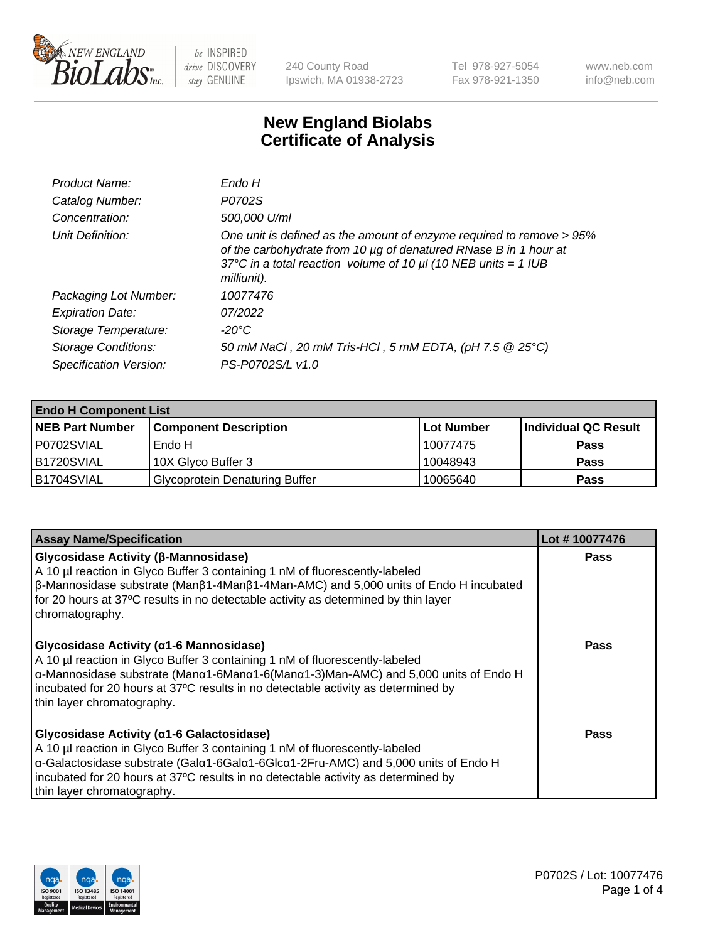

240 County Road Ipswich, MA 01938-2723 Tel 978-927-5054 Fax 978-921-1350 www.neb.com info@neb.com

## **New England Biolabs Certificate of Analysis**

| Endo H                                                                                                                                                                                                                         |
|--------------------------------------------------------------------------------------------------------------------------------------------------------------------------------------------------------------------------------|
| P0702S                                                                                                                                                                                                                         |
| 500,000 U/ml                                                                                                                                                                                                                   |
| One unit is defined as the amount of enzyme required to remove > 95%<br>of the carbohydrate from 10 µg of denatured RNase B in 1 hour at<br>37°C in a total reaction volume of 10 $\mu$ I (10 NEB units = 1 IUB<br>milliunit). |
| 10077476                                                                                                                                                                                                                       |
| 07/2022                                                                                                                                                                                                                        |
| -20°C                                                                                                                                                                                                                          |
| 50 mM NaCl, 20 mM Tris-HCl, 5 mM EDTA, (pH 7.5 @ 25°C)                                                                                                                                                                         |
| PS-P0702S/L v1.0                                                                                                                                                                                                               |
|                                                                                                                                                                                                                                |

| <b>Endo H Component List</b> |                                       |             |                      |  |  |
|------------------------------|---------------------------------------|-------------|----------------------|--|--|
| <b>NEB Part Number</b>       | <b>Component Description</b>          | ∣Lot Number | Individual QC Result |  |  |
| P0702SVIAL                   | Endo H                                | 10077475    | <b>Pass</b>          |  |  |
| <b>B1720SVIAL</b>            | 10X Glyco Buffer 3                    | 10048943    | <b>Pass</b>          |  |  |
| B1704SVIAL                   | <b>Glycoprotein Denaturing Buffer</b> | 10065640    | <b>Pass</b>          |  |  |

| <b>Assay Name/Specification</b>                                                                                                                                                                                                                                                                                                            | Lot #10077476 |
|--------------------------------------------------------------------------------------------------------------------------------------------------------------------------------------------------------------------------------------------------------------------------------------------------------------------------------------------|---------------|
| Glycosidase Activity (β-Mannosidase)<br>A 10 µl reaction in Glyco Buffer 3 containing 1 nM of fluorescently-labeled<br>$\beta$ -Mannosidase substrate (Man $\beta$ 1-4Man $\beta$ 1-4Man-AMC) and 5,000 units of Endo H incubated<br>for 20 hours at 37°C results in no detectable activity as determined by thin layer<br>chromatography. | <b>Pass</b>   |
| Glycosidase Activity (α1-6 Mannosidase)<br>A 10 µl reaction in Glyco Buffer 3 containing 1 nM of fluorescently-labeled<br>α-Mannosidase substrate (Μanα1-6Μanα1-6(Μanα1-3)Man-AMC) and 5,000 units of Endo H<br>incubated for 20 hours at 37°C results in no detectable activity as determined by<br>thin layer chromatography.            | Pass          |
| Glycosidase Activity (α1-6 Galactosidase)<br>A 10 µl reaction in Glyco Buffer 3 containing 1 nM of fluorescently-labeled<br>α-Galactosidase substrate (Galα1-6Galα1-6Glcα1-2Fru-AMC) and 5,000 units of Endo H<br>incubated for 20 hours at 37°C results in no detectable activity as determined by<br>thin layer chromatography.          | Pass          |

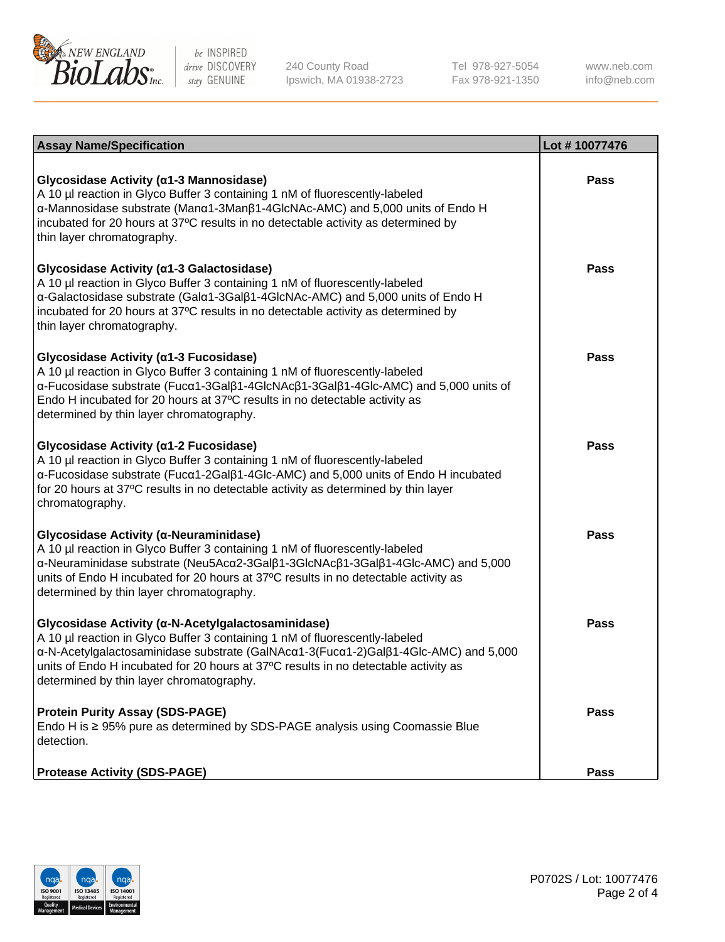

240 County Road Ipswich, MA 01938-2723 Tel 978-927-5054 Fax 978-921-1350 www.neb.com info@neb.com

| <b>Assay Name/Specification</b>                                                                                                                                                                                                                                                                                                                             | Lot #10077476 |
|-------------------------------------------------------------------------------------------------------------------------------------------------------------------------------------------------------------------------------------------------------------------------------------------------------------------------------------------------------------|---------------|
| Glycosidase Activity (α1-3 Mannosidase)<br>A 10 µl reaction in Glyco Buffer 3 containing 1 nM of fluorescently-labeled<br>α-Mannosidase substrate (Manα1-3Manβ1-4GlcNAc-AMC) and 5,000 units of Endo H<br>incubated for 20 hours at 37°C results in no detectable activity as determined by<br>thin layer chromatography.                                   | <b>Pass</b>   |
| Glycosidase Activity (α1-3 Galactosidase)<br>A 10 µl reaction in Glyco Buffer 3 containing 1 nM of fluorescently-labeled<br>α-Galactosidase substrate (Galα1-3Galβ1-4GlcNAc-AMC) and 5,000 units of Endo H<br>incubated for 20 hours at 37°C results in no detectable activity as determined by<br>thin layer chromatography.                               | Pass          |
| Glycosidase Activity (α1-3 Fucosidase)<br>A 10 µl reaction in Glyco Buffer 3 containing 1 nM of fluorescently-labeled<br>α-Fucosidase substrate (Fucα1-3Galβ1-4GlcNAcβ1-3Galβ1-4Glc-AMC) and 5,000 units of<br>Endo H incubated for 20 hours at 37°C results in no detectable activity as<br>determined by thin layer chromatography.                       | <b>Pass</b>   |
| Glycosidase Activity (α1-2 Fucosidase)<br>A 10 µl reaction in Glyco Buffer 3 containing 1 nM of fluorescently-labeled<br>$\alpha$ -Fucosidase substrate (Fuc $\alpha$ 1-2Gal $\beta$ 1-4Glc-AMC) and 5,000 units of Endo H incubated<br>for 20 hours at 37°C results in no detectable activity as determined by thin layer<br>chromatography.               | <b>Pass</b>   |
| Glycosidase Activity (a-Neuraminidase)<br>A 10 µl reaction in Glyco Buffer 3 containing 1 nM of fluorescently-labeled<br>α-Neuraminidase substrate (Neu5Acα2-3Galβ1-3GlcNAcβ1-3Galβ1-4Glc-AMC) and 5,000<br>units of Endo H incubated for 20 hours at 37°C results in no detectable activity as<br>determined by thin layer chromatography.                 | <b>Pass</b>   |
| Glycosidase Activity (α-N-Acetylgalactosaminidase)<br>A 10 µl reaction in Glyco Buffer 3 containing 1 nM of fluorescently-labeled<br>α-N-Acetylgalactosaminidase substrate (GalNAcα1-3(Fucα1-2)Galβ1-4Glc-AMC) and 5,000<br>units of Endo H incubated for 20 hours at 37°C results in no detectable activity as<br>determined by thin layer chromatography. | <b>Pass</b>   |
| <b>Protein Purity Assay (SDS-PAGE)</b><br>Endo H is ≥ 95% pure as determined by SDS-PAGE analysis using Coomassie Blue<br>detection.                                                                                                                                                                                                                        | <b>Pass</b>   |
| <b>Protease Activity (SDS-PAGE)</b>                                                                                                                                                                                                                                                                                                                         | <b>Pass</b>   |

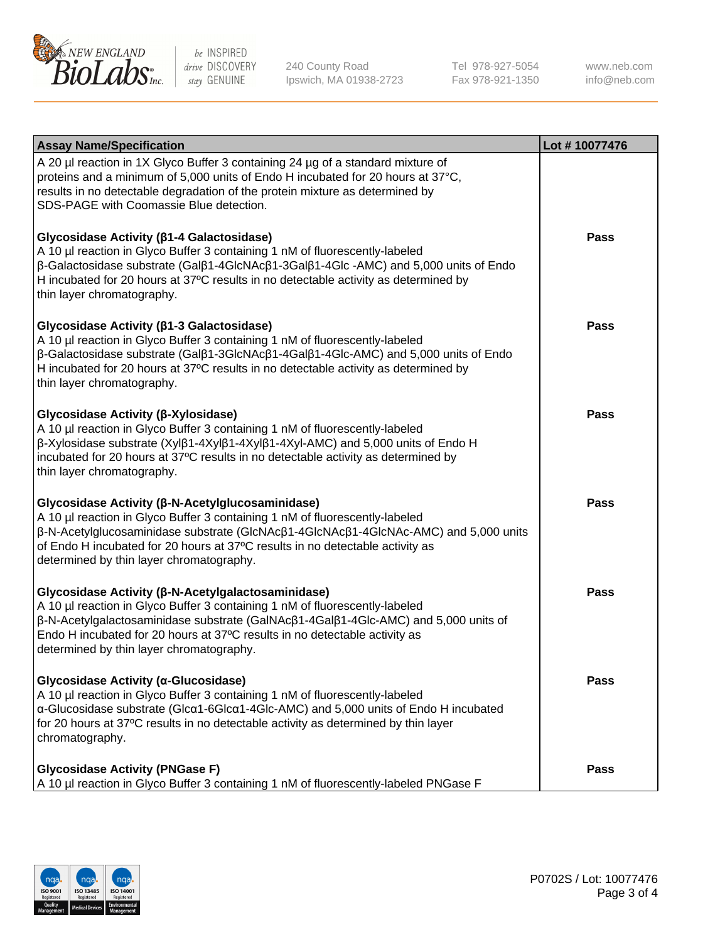

240 County Road Ipswich, MA 01938-2723 Tel 978-927-5054 Fax 978-921-1350

www.neb.com info@neb.com

| <b>Assay Name/Specification</b>                                                                                                                                                                                                                                                                                                                                           | Lot #10077476 |
|---------------------------------------------------------------------------------------------------------------------------------------------------------------------------------------------------------------------------------------------------------------------------------------------------------------------------------------------------------------------------|---------------|
| A 20 µl reaction in 1X Glyco Buffer 3 containing 24 µg of a standard mixture of<br>proteins and a minimum of 5,000 units of Endo H incubated for 20 hours at 37°C,<br>results in no detectable degradation of the protein mixture as determined by<br>SDS-PAGE with Coomassie Blue detection.                                                                             |               |
| Glycosidase Activity (β1-4 Galactosidase)<br>A 10 µl reaction in Glyco Buffer 3 containing 1 nM of fluorescently-labeled<br>$\beta$ -Galactosidase substrate (Gal $\beta$ 1-4GlcNAc $\beta$ 1-3Gal $\beta$ 1-4Glc -AMC) and 5,000 units of Endo<br>H incubated for 20 hours at 37°C results in no detectable activity as determined by<br>thin layer chromatography.      | <b>Pass</b>   |
| Glycosidase Activity (β1-3 Galactosidase)<br>A 10 µl reaction in Glyco Buffer 3 containing 1 nM of fluorescently-labeled<br>$\beta$ -Galactosidase substrate (Gal $\beta$ 1-3GlcNAc $\beta$ 1-4Gal $\beta$ 1-4Glc-AMC) and 5,000 units of Endo<br>H incubated for 20 hours at 37°C results in no detectable activity as determined by<br>thin layer chromatography.       | <b>Pass</b>   |
| Glycosidase Activity (β-Xylosidase)<br>A 10 µl reaction in Glyco Buffer 3 containing 1 nM of fluorescently-labeled<br>$\beta$ -Xylosidase substrate (Xyl $\beta$ 1-4Xyl $\beta$ 1-4Xyl $\beta$ 1-4Xyl-AMC) and 5,000 units of Endo H<br>incubated for 20 hours at 37°C results in no detectable activity as determined by<br>thin layer chromatography.                   | <b>Pass</b>   |
| Glycosidase Activity (β-N-Acetylglucosaminidase)<br>A 10 µl reaction in Glyco Buffer 3 containing 1 nM of fluorescently-labeled<br>β-N-Acetylglucosaminidase substrate (GlcNAcβ1-4GlcNAcβ1-4GlcNAc-AMC) and 5,000 units<br>of Endo H incubated for 20 hours at 37°C results in no detectable activity as<br>determined by thin layer chromatography.                      | <b>Pass</b>   |
| Glycosidase Activity (β-N-Acetylgalactosaminidase)<br>A 10 µl reaction in Glyco Buffer 3 containing 1 nM of fluorescently-labeled<br>$\beta$ -N-Acetylgalactosaminidase substrate (GalNAc $\beta$ 1-4Gal $\beta$ 1-4Glc-AMC) and 5,000 units of<br>Endo H incubated for 20 hours at 37°C results in no detectable activity as<br>determined by thin layer chromatography. | <b>Pass</b>   |
| Glycosidase Activity (α-Glucosidase)<br>A 10 µl reaction in Glyco Buffer 3 containing 1 nM of fluorescently-labeled<br>α-Glucosidase substrate (Glcα1-6Glcα1-4Glc-AMC) and 5,000 units of Endo H incubated<br>for 20 hours at 37°C results in no detectable activity as determined by thin layer<br>chromatography.                                                       | <b>Pass</b>   |
| <b>Glycosidase Activity (PNGase F)</b><br>A 10 µl reaction in Glyco Buffer 3 containing 1 nM of fluorescently-labeled PNGase F                                                                                                                                                                                                                                            | <b>Pass</b>   |